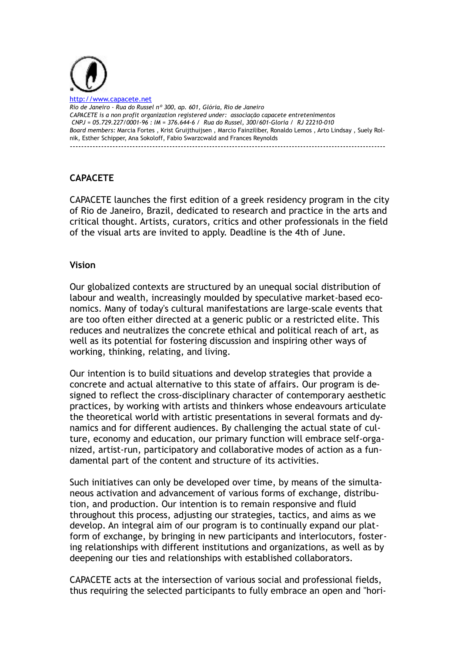

ww.capacete.net *Rio de Janeiro - Rua do Russel nº 300, ap. 601, Glória, Rio de Janeiro CAPACETE is a non profit organization registered under: associação capacete entretenimentos CNPJ = 05.729.227/0001-96 : IM = 376.644-6 / Rua do Russel, 300/601-Gloria / RJ 22210-010 Board members:* Marcia Fortes , Krist Gruijthuijsen , [Marcio Fainziliber,](https://plus.google.com/u/0/109742791107278078715?prsrc=4) Ronaldo Lemos , Arto Lindsay , Suely Rolnik, Esther Schipper, Ana Sokoloff, Fabio Swarzcwald and Frances Reynolds ---------------------------------------------------------------------------------------------------------------

# **CAPACETE**

CAPACETE launches the first edition of a greek residency program in the city of Rio de Janeiro, Brazil, dedicated to research and practice in the arts and critical thought. Artists, curators, critics and other professionals in the field of the visual arts are invited to apply. Deadline is the 4th of June.

### **Vision**

Our globalized contexts are structured by an unequal social distribution of labour and wealth, increasingly moulded by speculative market-based economics. Many of today's cultural manifestations are large-scale events that are too often either directed at a generic public or a restricted elite. This reduces and neutralizes the concrete ethical and political reach of art, as well as its potential for fostering discussion and inspiring other ways of working, thinking, relating, and living.

Our intention is to build situations and develop strategies that provide a concrete and actual alternative to this state of affairs. Our program is designed to reflect the cross-disciplinary character of contemporary aesthetic practices, by working with artists and thinkers whose endeavours articulate the theoretical world with artistic presentations in several formats and dynamics and for different audiences. By challenging the actual state of culture, economy and education, our primary function will embrace self-organized, artist-run, participatory and collaborative modes of action as a fundamental part of the content and structure of its activities.

Such initiatives can only be developed over time, by means of the simultaneous activation and advancement of various forms of exchange, distribution, and production. Our intention is to remain responsive and fluid throughout this process, adjusting our strategies, tactics, and aims as we develop. An integral aim of our program is to continually expand our platform of exchange, by bringing in new participants and interlocutors, fostering relationships with different institutions and organizations, as well as by deepening our ties and relationships with established collaborators.

CAPACETE acts at the intersection of various social and professional fields, thus requiring the selected participants to fully embrace an open and "hori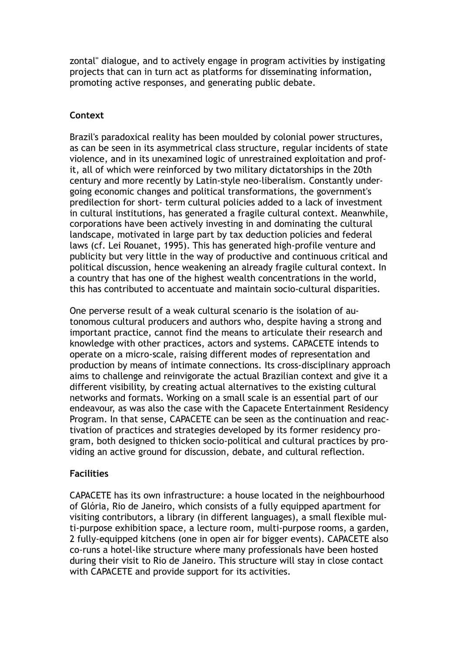zontal" dialogue, and to actively engage in program activities by instigating projects that can in turn act as platforms for disseminating information, promoting active responses, and generating public debate.

### **Context**

Brazil's paradoxical reality has been moulded by colonial power structures, as can be seen in its asymmetrical class structure, regular incidents of state violence, and in its unexamined logic of unrestrained exploitation and profit, all of which were reinforced by two military dictatorships in the 20th century and more recently by Latin-style neo-liberalism. Constantly undergoing economic changes and political transformations, the government's predilection for short- term cultural policies added to a lack of investment in cultural institutions, has generated a fragile cultural context. Meanwhile, corporations have been actively investing in and dominating the cultural landscape, motivated in large part by tax deduction policies and federal laws (cf. Lei Rouanet, 1995). This has generated high-profile venture and publicity but very little in the way of productive and continuous critical and political discussion, hence weakening an already fragile cultural context. In a country that has one of the highest wealth concentrations in the world, this has contributed to accentuate and maintain socio-cultural disparities.

One perverse result of a weak cultural scenario is the isolation of autonomous cultural producers and authors who, despite having a strong and important practice, cannot find the means to articulate their research and knowledge with other practices, actors and systems. CAPACETE intends to operate on a micro-scale, raising different modes of representation and production by means of intimate connections. Its cross-disciplinary approach aims to challenge and reinvigorate the actual Brazilian context and give it a different visibility, by creating actual alternatives to the existing cultural networks and formats. Working on a small scale is an essential part of our endeavour, as was also the case with the Capacete Entertainment Residency Program. In that sense, CAPACETE can be seen as the continuation and reactivation of practices and strategies developed by its former residency program, both designed to thicken socio-political and cultural practices by providing an active ground for discussion, debate, and cultural reflection.

## **Facilities**

CAPACETE has its own infrastructure: a house located in the neighbourhood of Glória, Rio de Janeiro, which consists of a fully equipped apartment for visiting contributors, a library (in different languages), a small flexible multi-purpose exhibition space, a lecture room, multi-purpose rooms, a garden, 2 fully-equipped kitchens (one in open air for bigger events). CAPACETE also co-runs a hotel-like structure where many professionals have been hosted during their visit to Rio de Janeiro. This structure will stay in close contact with CAPACETE and provide support for its activities.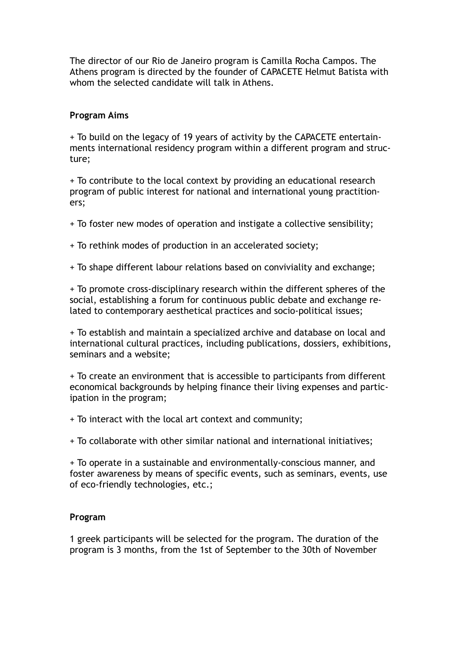The director of our Rio de Janeiro program is Camilla Rocha Campos. The Athens program is directed by the founder of CAPACETE Helmut Batista with whom the selected candidate will talk in Athens.

### **Program Aims**

+ To build on the legacy of 19 years of activity by the CAPACETE entertainments international residency program within a different program and structure;

+ To contribute to the local context by providing an educational research program of public interest for national and international young practitioners;

+ To foster new modes of operation and instigate a collective sensibility;

+ To rethink modes of production in an accelerated society;

+ To shape different labour relations based on conviviality and exchange;

+ To promote cross-disciplinary research within the different spheres of the social, establishing a forum for continuous public debate and exchange related to contemporary aesthetical practices and socio-political issues;

+ To establish and maintain a specialized archive and database on local and international cultural practices, including publications, dossiers, exhibitions, seminars and a website;

+ To create an environment that is accessible to participants from different economical backgrounds by helping finance their living expenses and participation in the program;

+ To interact with the local art context and community;

+ To collaborate with other similar national and international initiatives;

+ To operate in a sustainable and environmentally-conscious manner, and foster awareness by means of specific events, such as seminars, events, use of eco-friendly technologies, etc.;

### **Program**

1 greek participants will be selected for the program. The duration of the program is 3 months, from the 1st of September to the 30th of November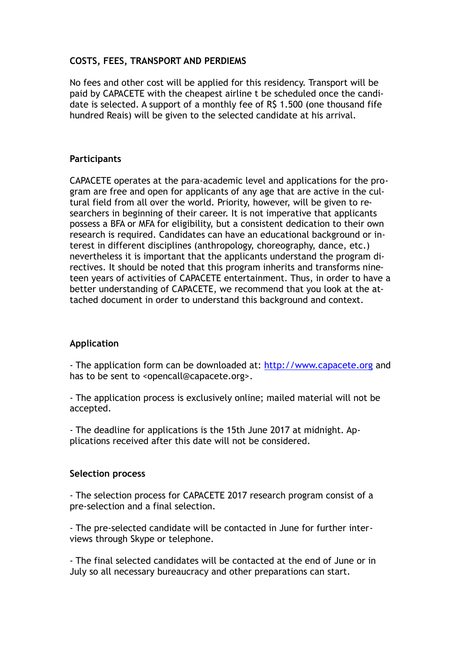### **COSTS, FEES, TRANSPORT AND PERDIEMS**

No fees and other cost will be applied for this residency. Transport will be paid by CAPACETE with the cheapest airline t be scheduled once the candidate is selected. A support of a monthly fee of R\$ 1.500 (one thousand fife hundred Reais) will be given to the selected candidate at his arrival.

### **Participants**

CAPACETE operates at the para-academic level and applications for the program are free and open for applicants of any age that are active in the cultural field from all over the world. Priority, however, will be given to researchers in beginning of their career. It is not imperative that applicants possess a BFA or MFA for eligibility, but a consistent dedication to their own research is required. Candidates can have an educational background or interest in different disciplines (anthropology, choreography, dance, etc.) nevertheless it is important that the applicants understand the program directives. It should be noted that this program inherits and transforms nineteen years of activities of CAPACETE entertainment. Thus, in order to have a better understanding of CAPACETE, we recommend that you look at the attached document in order to understand this background and context.

### **Application**

- The application form can be downloaded at: <http://www.capacete.org> and has to be sent to <opencall@capacete.org>.

- The application process is exclusively online; mailed material will not be accepted.

- The deadline for applications is the 15th June 2017 at midnight. Applications received after this date will not be considered.

#### **Selection process**

- The selection process for CAPACETE 2017 research program consist of a pre-selection and a final selection.

- The pre-selected candidate will be contacted in June for further interviews through Skype or telephone.

- The final selected candidates will be contacted at the end of June or in July so all necessary bureaucracy and other preparations can start.